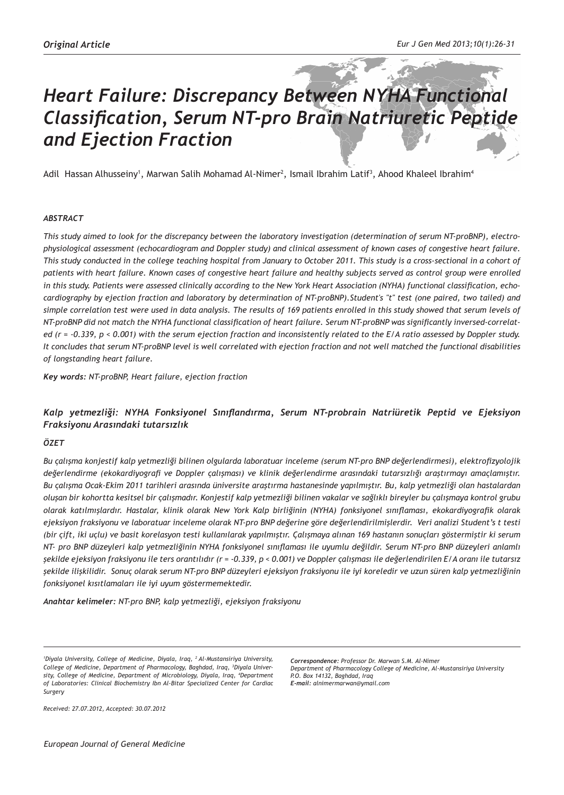# *Heart Failure: Discrepancy Between NYHA Functional Classification, Serum NT-pro Brain Natriuretic Peptide and Ejection Fraction*

Adil Hassan Alhusseiny<sup>1</sup>, Marwan Salih Mohamad Al-Nimer<sup>2</sup>, Ismail Ibrahim Latif<sup>3</sup>, Ahood Khaleel Ibrahim<sup>4</sup>

#### *ABSTRACT*

*This study aimed to look for the discrepancy between the laboratory investigation (determination of serum NT-proBNP), electrophysiological assessment (echocardiogram and Doppler study) and clinical assessment of known cases of congestive heart failure. This study conducted in the college teaching hospital from January to October 2011. This study is a cross-sectional in a cohort of patients with heart failure. Known cases of congestive heart failure and healthy subjects served as control group were enrolled in this study. Patients were assessed clinically according to the New York Heart Association (NYHA) functional classification, echocardiography by ejection fraction and laboratory by determination of NT-proBNP).Student's "t" test (one paired, two tailed) and simple correlation test were used in data analysis. The results of 169 patients enrolled in this study showed that serum levels of NT-proBNP did not match the NYHA functional classification of heart failure. Serum NT-proBNP was significantly inversed-correlated (r = -0.339, p < 0.001) with the serum ejection fraction and inconsistently related to the E/A ratio assessed by Doppler study. It concludes that serum NT-proBNP level is well correlated with ejection fraction and not well matched the functional disabilities of longstanding heart failure.*

*Key words: NT-proBNP, Heart failure, ejection fraction*

## *Kalp yetmezliği: NYHA Fonksiyonel Sınıflandırma, Serum NT-probrain Natriüretik Peptid ve Ejeksiyon Fraksiyonu Arasındaki tutarsızlık*

#### *ÖZET*

*Bu çalışma konjestif kalp yetmezliği bilinen olgularda laboratuar inceleme (serum NT-pro BNP değerlendirmesi), elektrofizyolojik değerlendirme (ekokardiyografi ve Doppler çalışması) ve klinik değerlendirme arasındaki tutarsızlığı araştırmayı amaçlamıştır. Bu çalışma Ocak-Ekim 2011 tarihleri arasında üniversite araştırma hastanesinde yapılmıştır. Bu, kalp yetmezliği olan hastalardan oluşan bir kohortta kesitsel bir çalışmadır. Konjestif kalp yetmezliği bilinen vakalar ve sağlıklı bireyler bu çalışmaya kontrol grubu olarak katılmışlardır. Hastalar, klinik olarak New York Kalp birliğinin (NYHA) fonksiyonel sınıflaması, ekokardiyografik olarak ejeksiyon fraksiyonu ve laboratuar inceleme olarak NT-pro BNP değerine göre değerlendirilmişlerdir. Veri analizi Student's t testi (bir çift, iki uçlu) ve basit korelasyon testi kullanılarak yapılmıştır. Çalışmaya alınan 169 hastanın sonuçları göstermiştir ki serum NT- pro BNP düzeyleri kalp yetmezliğinin NYHA fonksiyonel sınıflaması ile uyumlu değildir. Serum NT-pro BNP düzeyleri anlamlı şekilde ejeksiyon fraksiyonu ile ters orantılıdır (r = -0.339, p < 0.001) ve Doppler çalışması ile değerlendirilen E/A oranı ile tutarsız şekilde ilişkilidir. Sonuç olarak serum NT-pro BNP düzeyleri ejeksiyon fraksiyonu ile iyi koreledir ve uzun süren kalp yetmezliğinin fonksiyonel kısıtlamaları ile iyi uyum göstermemektedir.*

*Anahtar kelimeler: NT-pro BNP, kalp yetmezliği, ejeksiyon fraksiyonu*

*Correspondence: Professor Dr. Marwan S.M. Al-Nimer Department of Pharmacology College of Medicine, Al-Mustansiriya University P.O. Box 14132, Baghdad, Iraq E-mail: alnimermarwan@ymail.com*

*Received: 27.07.2012, Accepted: 30.07.2012*

*<sup>1</sup> Diyala University, College of Medicine, Diyala, Iraq, 2 Al-Mustansiriya University, College of Medicine, Department of Pharmacology, Baghdad, Iraq, 3 Diyala University, College of Medicine, Department of Microbiology, Diyala, Iraq, 4 Department of Laboratories: Clinical Biochemistry Ibn Al-Bitar Specialized Center for Cardiac Surgery*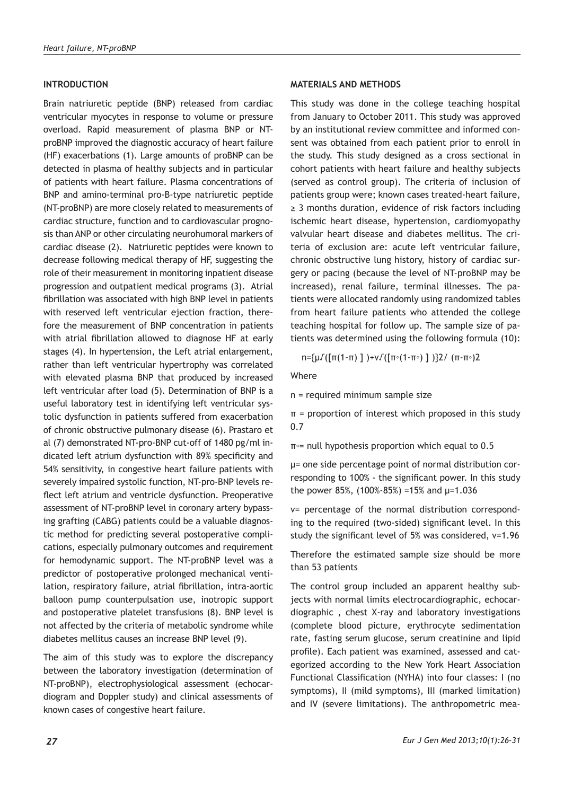## **INTRODUCTION**

Brain natriuretic peptide (BNP) released from cardiac ventricular myocytes in response to volume or pressure overload. Rapid measurement of plasma BNP or NTproBNP improved the diagnostic accuracy of heart failure (HF) exacerbations (1). Large amounts of proBNP can be detected in plasma of healthy subjects and in particular of patients with heart failure. Plasma concentrations of BNP and amino-terminal pro-B-type natriuretic peptide (NT-proBNP) are more closely related to measurements of cardiac structure, function and to cardiovascular prognosis than ANP or other circulating neurohumoral markers of cardiac disease (2). Natriuretic peptides were known to decrease following medical therapy of HF, suggesting the role of their measurement in monitoring inpatient disease progression and outpatient medical programs (3). Atrial fibrillation was associated with high BNP level in patients with reserved left ventricular ejection fraction, therefore the measurement of BNP concentration in patients with atrial fibrillation allowed to diagnose HF at early stages (4). In hypertension, the Left atrial enlargement, rather than left ventricular hypertrophy was correlated with elevated plasma BNP that produced by increased left ventricular after load (5). Determination of BNP is a useful laboratory test in identifying left ventricular systolic dysfunction in patients suffered from exacerbation of chronic obstructive pulmonary disease (6). Prastaro et al (7) demonstrated NT-pro-BNP cut-off of 1480 pg/ml indicated left atrium dysfunction with 89% specificity and 54% sensitivity, in congestive heart failure patients with severely impaired systolic function, NT-pro-BNP levels reflect left atrium and ventricle dysfunction. Preoperative assessment of NT-proBNP level in coronary artery bypassing grafting (CABG) patients could be a valuable diagnostic method for predicting several postoperative complications, especially pulmonary outcomes and requirement for hemodynamic support. The NT-proBNP level was a predictor of postoperative prolonged mechanical ventilation, respiratory failure, atrial fibrillation, intra-aortic balloon pump counterpulsation use, inotropic support and postoperative platelet transfusions (8). BNP level is not affected by the criteria of metabolic syndrome while diabetes mellitus causes an increase BNP level (9).

The aim of this study was to explore the discrepancy between the laboratory investigation (determination of NT-proBNP), electrophysiological assessment (echocardiogram and Doppler study) and clinical assessments of known cases of congestive heart failure.

#### **MATERIALS AND METHODS**

This study was done in the college teaching hospital from January to October 2011. This study was approved by an institutional review committee and informed consent was obtained from each patient prior to enroll in the study. This study designed as a cross sectional in cohort patients with heart failure and healthy subjects (served as control group). The criteria of inclusion of patients group were; known cases treated-heart failure, ≥ 3 months duration, evidence of risk factors including ischemic heart disease, hypertension, cardiomyopathy valvular heart disease and diabetes mellitus. The criteria of exclusion are: acute left ventricular failure, chronic obstructive lung history, history of cardiac surgery or pacing (because the level of NT-proBNP may be increased), renal failure, terminal illnesses. The patients were allocated randomly using randomized tables from heart failure patients who attended the college teaching hospital for follow up. The sample size of patients was determined using the following formula (10):

n={μ√([π(1-π) ] )+v√([π◦(1-π◦) ] )}2/ (π-π◦)2

Where

n = required minimum sample size

 $π = proportion of interest which proposed in this study$ 0.7

π◦= null hypothesis proportion which equal to 0.5

μ= one side percentage point of normal distribution corresponding to 100% - the significant power. In this study the power 85%,  $(100\% - 85\%) = 15\%$  and  $\mu = 1.036$ 

v= percentage of the normal distribution corresponding to the required (two-sided) significant level. In this study the significant level of 5% was considered, v=1.96

Therefore the estimated sample size should be more than 53 patients

The control group included an apparent healthy subjects with normal limits electrocardiographic, echocardiographic , chest X-ray and laboratory investigations (complete blood picture, erythrocyte sedimentation rate, fasting serum glucose, serum creatinine and lipid profile). Each patient was examined, assessed and categorized according to the New York Heart Association Functional Classification (NYHA) into four classes: I (no symptoms), II (mild symptoms), III (marked limitation) and IV (severe limitations). The anthropometric mea-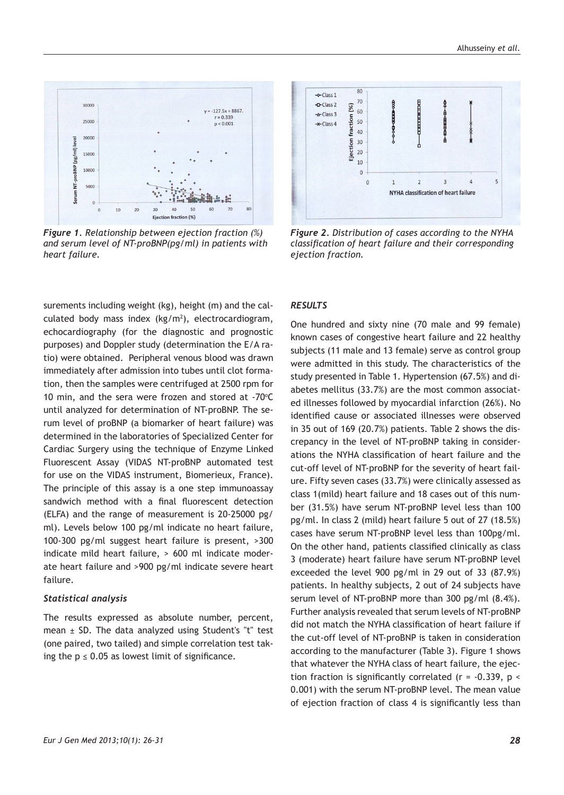

*Figure 1. Relationship between ejection fraction (%) and serum level of NT-proBNP(pg/ml) in patients with heart failure.*

surements including weight (kg), height (m) and the calculated body mass index  $(kg/m^2)$ , electrocardiogram, echocardiography (for the diagnostic and prognostic purposes) and Doppler study (determination the E/A ratio) were obtained. Peripheral venous blood was drawn immediately after admission into tubes until clot formation, then the samples were centrifuged at 2500 rpm for 10 min, and the sera were frozen and stored at  $-70^{\circ}$ C until analyzed for determination of NT-proBNP. The serum level of proBNP (a biomarker of heart failure) was determined in the laboratories of Specialized Center for Cardiac Surgery using the technique of Enzyme Linked Fluorescent Assay (VIDAS NT-proBNP automated test for use on the VIDAS instrument, Biomerieux, France). The principle of this assay is a one step immunoassay sandwich method with a final fluorescent detection (ELFA) and the range of measurement is 20-25000 pg/ ml). Levels below 100 pg/ml indicate no heart failure, 100-300 pg/ml suggest heart failure is present, >300 indicate mild heart failure, > 600 ml indicate moderate heart failure and >900 pg/ml indicate severe heart failure.

#### *Statistical analysis*

The results expressed as absolute number, percent, mean  $\pm$  SD. The data analyzed using Student's "t" test (one paired, two tailed) and simple correlation test taking the  $p \le 0.05$  as lowest limit of significance.



*Figure 2. Distribution of cases according to the NYHA classification of heart failure and their corresponding ejection fraction.*

## *RESULTS*

One hundred and sixty nine (70 male and 99 female) known cases of congestive heart failure and 22 healthy subjects (11 male and 13 female) serve as control group were admitted in this study. The characteristics of the study presented in Table 1. Hypertension (67.5%) and diabetes mellitus (33.7%) are the most common associated illnesses followed by myocardial infarction (26%). No identified cause or associated illnesses were observed in 35 out of 169 (20.7%) patients. Table 2 shows the discrepancy in the level of NT-proBNP taking in considerations the NYHA classification of heart failure and the cut-off level of NT-proBNP for the severity of heart failure. Fifty seven cases (33.7%) were clinically assessed as class 1(mild) heart failure and 18 cases out of this number (31.5%) have serum NT-proBNP level less than 100 pg/ml. In class 2 (mild) heart failure 5 out of 27 (18.5%) cases have serum NT-proBNP level less than 100pg/ml. On the other hand, patients classified clinically as class 3 (moderate) heart failure have serum NT-proBNP level exceeded the level 900 pg/ml in 29 out of 33 (87.9%) patients. In healthy subjects, 2 out of 24 subjects have serum level of NT-proBNP more than 300 pg/ml (8.4%). Further analysis revealed that serum levels of NT-proBNP did not match the NYHA classification of heart failure if the cut-off level of NT-proBNP is taken in consideration according to the manufacturer (Table 3). Figure 1 shows that whatever the NYHA class of heart failure, the ejection fraction is significantly correlated (r = -0.339, p < 0.001) with the serum NT-proBNP level. The mean value of ejection fraction of class 4 is significantly less than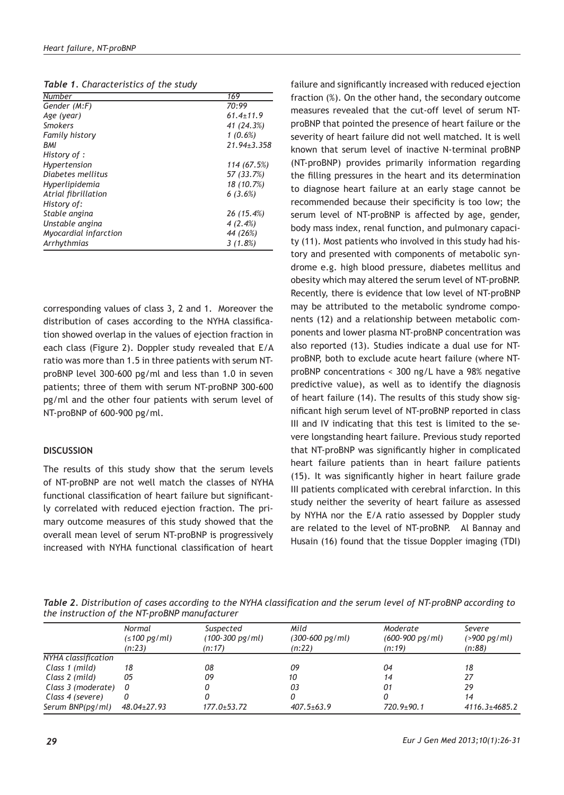|  | Table 1. Characteristics of the study |  |  |  |
|--|---------------------------------------|--|--|--|
|--|---------------------------------------|--|--|--|

| <b>Number</b>         | 169             |
|-----------------------|-----------------|
| Gender (M:F)          | 70:99           |
| Age (year)            | $61.4 \pm 11.9$ |
| Smokers               | 41 (24.3%)      |
| <b>Family history</b> | $1(0.6\%)$      |
| BMI                   | 21.94±3.358     |
| History of :          |                 |
| Hypertension          | 114 (67.5%)     |
| Diabetes mellitus     | 57 (33.7%)      |
| Hyperlipidemia        | 18 (10.7%)      |
| Atrial fibrillation   | 6(3.6%)         |
| History of:           |                 |
| Stable angina         | 26 (15.4%)      |
| Unstable angina       | 4(2.4%)         |
| Myocardial infarction | 44 (26%)        |
| Arrhythmias           | 3(1.8%)         |

corresponding values of class 3, 2 and 1. Moreover the distribution of cases according to the NYHA classification showed overlap in the values of ejection fraction in each class (Figure 2). Doppler study revealed that E/A ratio was more than 1.5 in three patients with serum NTproBNP level 300-600 pg/ml and less than 1.0 in seven patients; three of them with serum NT-proBNP 300-600 pg/ml and the other four patients with serum level of NT-proBNP of 600-900 pg/ml.

#### **DISCUSSION**

The results of this study show that the serum levels of NT-proBNP are not well match the classes of NYHA functional classification of heart failure but significantly correlated with reduced ejection fraction. The primary outcome measures of this study showed that the overall mean level of serum NT-proBNP is progressively increased with NYHA functional classification of heart

failure and significantly increased with reduced ejection fraction (%). On the other hand, the secondary outcome measures revealed that the cut-off level of serum NTproBNP that pointed the presence of heart failure or the severity of heart failure did not well matched. It is well known that serum level of inactive N-terminal proBNP (NT-proBNP) provides primarily information regarding the filling pressures in the heart and its determination to diagnose heart failure at an early stage cannot be recommended because their specificity is too low; the serum level of NT-proBNP is affected by age, gender, body mass index, renal function, and pulmonary capacity (11). Most patients who involved in this study had history and presented with components of metabolic syndrome e.g. high blood pressure, diabetes mellitus and obesity which may altered the serum level of NT-proBNP. Recently, there is evidence that low level of NT-proBNP may be attributed to the metabolic syndrome components (12) and a relationship between metabolic components and lower plasma NT-proBNP concentration was also reported (13). Studies indicate a dual use for NTproBNP, both to exclude acute heart failure (where NTproBNP concentrations < 300 ng/L have a 98% negative predictive value), as well as to identify the diagnosis of heart failure (14). The results of this study show significant high serum level of NT-proBNP reported in class III and IV indicating that this test is limited to the severe longstanding heart failure. Previous study reported that NT-proBNP was significantly higher in complicated heart failure patients than in heart failure patients (15). It was significantly higher in heart failure grade III patients complicated with cerebral infarction. In this study neither the severity of heart failure as assessed by NYHA nor the E/A ratio assessed by Doppler study are related to the level of NT-proBNP. Al Bannay and Husain (16) found that the tissue Doppler imaging (TDI)

*Table 2. Distribution of cases according to the NYHA classification and the serum level of NT-proBNP according to the instruction of the NT-proBNP manufacturer*

|                     | Normal<br>$( \leq 100 \text{ pg/ml} )$<br>(n:23) | Suspected<br>$(100-300 \text{ pg/ml})$<br>(n:17) | Mild<br>(300-600 pg/ml)<br>(n:22) | Moderate<br>$(600-900 \text{ pg/ml})$<br>(n:19) | Severe<br>$( > 900 \text{ pg/ml})$<br>(n:88) |
|---------------------|--------------------------------------------------|--------------------------------------------------|-----------------------------------|-------------------------------------------------|----------------------------------------------|
| NYHA classification |                                                  |                                                  |                                   |                                                 |                                              |
| Class 1 (mild)      | 18                                               | 08                                               | 09                                | 04                                              | 18                                           |
| Class 2 (mild)      | 05                                               | 09                                               | 10                                | 14                                              | 27                                           |
| Class 3 (moderate)  | 0                                                |                                                  | 03                                | 01                                              | 29                                           |
| Class 4 (severe)    |                                                  |                                                  |                                   |                                                 | 14                                           |
| Serum BNP(pg/ml)    | $48.04 \pm 27.93$                                | $177.0 \pm 53.72$                                | $407.5 \pm 63.9$                  | $720.9 + 90.1$                                  | $4116.3 \pm 4685.2$                          |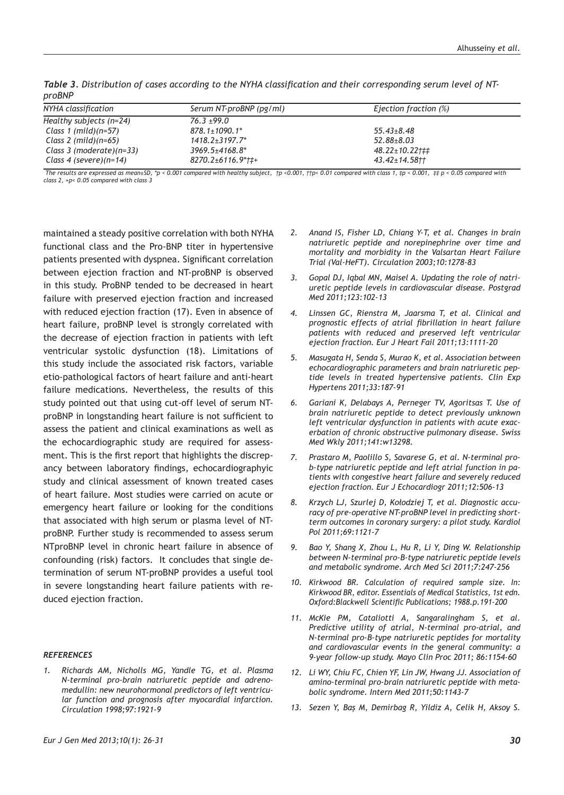| "יש יש                       |                                                        |                                                  |  |  |  |
|------------------------------|--------------------------------------------------------|--------------------------------------------------|--|--|--|
| NYHA classification          | Serum NT-proBNP (pg/ml)                                | Ejection fraction (%)                            |  |  |  |
| Healthy subjects (n=24)      | $76.3 \pm 99.0$                                        |                                                  |  |  |  |
| Class 1 (mild)( $n=57$ )     | $878.1 \pm 1090.1^*$                                   | $55.43 \pm 8.48$                                 |  |  |  |
| Class 2 (mild)( $n=65$ )     | $1418.2 + 3197.7^*$                                    | $52.88 \pm 8.03$                                 |  |  |  |
| Class 3 (moderate)( $n=33$ ) | $3969.5 + 4168.8*$                                     | $48.22 \pm 10.22 \uparrow \downarrow \downarrow$ |  |  |  |
| Class 4 (severe)( $n=14$ )   | $8270.2 \pm 6116.9$ <sup>*</sup> $\uparrow \uparrow +$ | $43.42 \pm 14.58$                                |  |  |  |

*Table 3. Distribution of cases according to the NYHA classification and their corresponding serum level of NTproBNP* 

The results are expressed as mean±SD, \*p < 0.001 compared with healthy subject,  $\pm p$  < 0.001,  $\pm p$  c 0.01 compared with class 1,  $\pm p$  < 0.001,  $\pm p$  < 0.05 compared with *class 2, +p< 0.05 compared with class 3*

maintained a steady positive correlation with both NYHA functional class and the Pro-BNP titer in hypertensive patients presented with dyspnea. Significant correlation between ejection fraction and NT-proBNP is observed in this study. ProBNP tended to be decreased in heart failure with preserved ejection fraction and increased with reduced ejection fraction (17). Even in absence of heart failure, proBNP level is strongly correlated with the decrease of ejection fraction in patients with left ventricular systolic dysfunction (18). Limitations of this study include the associated risk factors, variable etio-pathological factors of heart failure and anti-heart failure medications. Nevertheless, the results of this study pointed out that using cut-off level of serum NTproBNP in longstanding heart failure is not sufficient to assess the patient and clinical examinations as well as the echocardiographic study are required for assessment. This is the first report that highlights the discrepancy between laboratory findings, echocardiographyic study and clinical assessment of known treated cases of heart failure. Most studies were carried on acute or emergency heart failure or looking for the conditions that associated with high serum or plasma level of NTproBNP. Further study is recommended to assess serum NTproBNP level in chronic heart failure in absence of confounding (risk) factors. It concludes that single determination of serum NT-proBNP provides a useful tool in severe longstanding heart failure patients with reduced ejection fraction.

#### *REFERENCES*

*1. Richards AM, Nicholls MG, Yandle TG, et al. Plasma N-terminal pro-brain natriuretic peptide and adrenomedullin: new neurohormonal predictors of left ventricular function and prognosis after myocardial infarction. Circulation 1998;97:1921-9*

- *2. Anand IS, Fisher LD, Chiang Y-T, et al. Changes in brain natriuretic peptide and norepinephrine over time and mortality and morbidity in the Valsartan Heart Failure Trial (Val-HeFT). Circulation 2003;10:1278-83*
- *3. Gopal DJ, Iqbal MN, Maisel A. Updating the role of natriuretic peptide levels in cardiovascular disease. Postgrad Med 2011;123:102-13*
- *4. Linssen GC, Rienstra M, Jaarsma T, et al. Clinical and prognostic effects of atrial fibrillation in heart failure patients with reduced and preserved left ventricular ejection fraction. Eur J Heart Fail 2011;13:1111-20*
- *5. Masugata H, Senda S, Murao K, et al. Association between echocardiographic parameters and brain natriuretic peptide levels in treated hypertensive patients. Clin Exp Hypertens 2011;33:187-91*
- *6. Gariani K, Delabays A, Perneger TV, Agoritsas T. Use of brain natriuretic peptide to detect previously unknown left ventricular dysfunction in patients with acute exacerbation of chronic obstructive pulmonary disease. Swiss Med Wkly 2011;141:w13298.*
- *7. Prastaro M, Paolillo S, Savarese G, et al. N-terminal prob-type natriuretic peptide and left atrial function in patients with congestive heart failure and severely reduced ejection fraction. Eur J Echocardiogr 2011;12:506-13*
- *8. Krzych LJ, Szurlej D, Kołodziej T, et al. Diagnostic accuracy of pre-operative NT-proBNP level in predicting shortterm outcomes in coronary surgery: a pilot study. Kardiol Pol 2011;69:1121-7*
- *9. Bao Y, Shang X, Zhou L, Hu R, Li Y, Ding W. Relationship between N-terminal pro-B-type natriuretic peptide levels and metabolic syndrome. Arch Med Sci 2011;7:247-256*
- *10. Kirkwood BR. Calculation of required sample size. In: Kirkwood BR, editor. Essentials of Medical Statistics, 1st edn. Oxford:Blackwell Scientific Publications; 1988.p.191-200*
- *11. McKie PM, Cataliotti A, Sangaralingham S, et al. Predictive utility of atrial, N-terminal pro-atrial, and N-terminal pro-B-type natriuretic peptides for mortality and cardiovascular events in the general community: a 9-year follow-up study. Mayo Clin Proc 2011; 86:1154-60*
- *12. Li WY, Chiu FC, Chien YF, Lin JW, Hwang JJ. Association of amino-terminal pro-brain natriuretic peptide with metabolic syndrome. Intern Med 2011;50:1143-7*
- *13. Sezen Y, Baş M, Demirbag R, Yildiz A, Celik H, Aksoy S.*